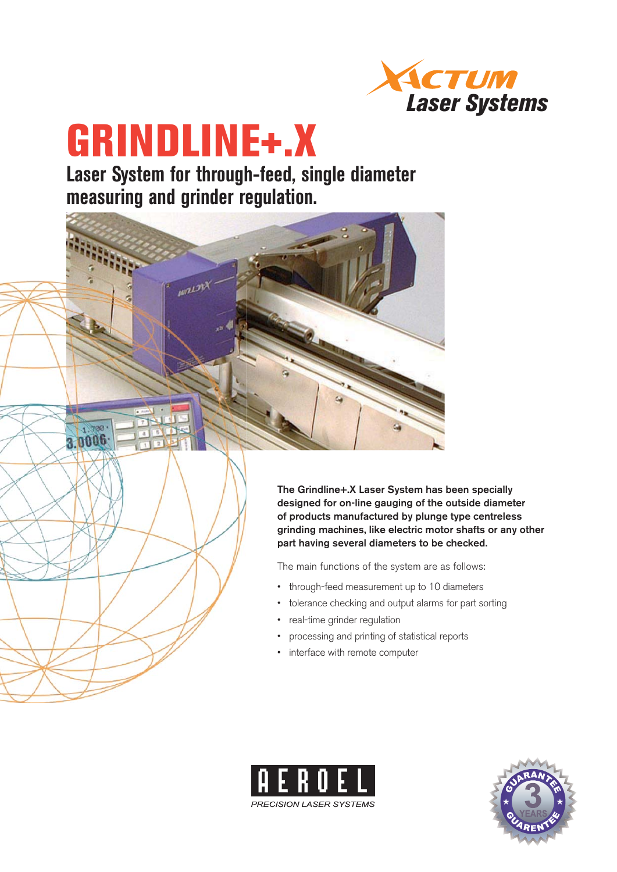

# **GRINDLINE+.X**

1 700 3.0006

**Laser System for through-feed, single diameter measuring and grinder regulation.**



The main functions of the system are as follows:

- through-feed measurement up to 10 diameters
- tolerance checking and output alarms for part sorting •
- real-time grinder regulation
- processing and printing of statistical reports •
- interface with remote computer



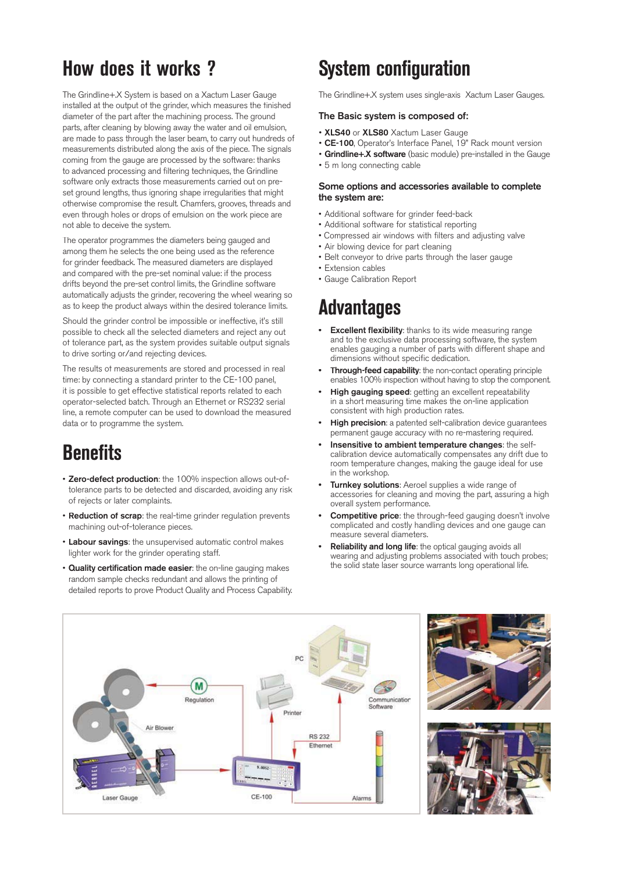### **How does it works ?**

The Grindline+.X System is based on a Xactum Laser Gauge installed at the output of the grinder, which measures the finished diameter of the part after the machining process. The ground parts, after cleaning by blowing away the water and oil emulsion, are made to pass through the laser beam, to carry out hundreds of measurements distributed along the axis of the piece. The signals coming from the gauge are processed by the software: thanks to advanced processing and filtering techniques, the Grindline software only extracts those measurements carried out on preset ground lengths, thus ignoring shape irregularities that might otherwise compromise the result. Chamfers, grooves, threads and even through holes or drops of emulsion on the work piece are not able to deceive the system.

The operator programmes the diameters being gauged and among them he selects the one being used as the reference for grinder feedback. The measured diameters are displayed and compared with the pre-set nominal value: if the process drifts beyond the pre-set control limits, the Grindline software automatically adjusts the grinder, recovering the wheel wearing so as to keep the product always within the desired tolerance limits.

Should the grinder control be impossible or ineffective, it's still possible to check all the selected diameters and reject any out of tolerance part, as the system provides suitable output signals to drive sorting or/and rejecting devices.

The results of measurements are stored and processed in real time: by connecting a standard printer to the CE-100 panel, it is possible to get effective statistical reports related to each operator-selected batch. Through an Ethernet or RS232 serial line, a remote computer can be used to download the measured data or to programme the system.

# **Benefits**

- **Zero-defect production**: the 100% inspection allows out-oftolerance parts to be detected and discarded, avoiding any risk of rejects or later complaints.
- **Reduction of scrap**: the real-time grinder regulation prevents machining out-of-tolerance pieces.
- **Labour savings**: the unsupervised automatic control makes lighter work for the grinder operating staff.
- **Quality certification made easier**: the on-line gauging makes random sample checks redundant and allows the printing of detailed reports to prove Product Quality and Process Capability.

# **System configuration**

The Grindline+.X system uses single-axis Xactum Laser Gauges.

### **The Basic system is composed of:**

- **XLS40** or **XLS80** Xactum Laser Gauge
- **CE-100**, Operator's Interface Panel, 19" Rack mount version
- **Grindline+.X software** (basic module) pre-installed in the Gauge
- 5 m long connecting cable

### **Some options and accessories available to complete the system are:**

- Additional software for grinder feed-back
- Additional software for statistical reporting
- Compressed air windows with filters and adjusting valve
- Air blowing device for part cleaning
- Belt conveyor to drive parts through the laser gauge
- Extension cables
- Gauge Calibration Report

## **Advantages**

- **Excellent flexibility**: thanks to its wide measuring range and to the exclusive data processing software, the system enables gauging a number of parts with different shape and dimensions without specific dedication. **•**
- **Through-feed capability**: the non-contact operating principle enables 100% inspection without having to stop the component. **•**
- **High gauging speed**: getting an excellent repeatability in a short measuring time makes the on-line application consistent with high production rates. **•**
- **High precision**: a patented self-calibration device guarantees permanent gauge accuracy with no re-mastering required. **•**
- **Insensitive to ambient temperature changes**: the selfcalibration device automatically compensates any drift due to room temperature changes, making the gauge ideal for use in the workshop. **•**
- **Turnkey solutions**: Aeroel supplies a wide range of accessories for cleaning and moving the part, assuring a high overall system performance. **•**
- **Competitive price**: the through-feed gauging doesn't involve **•** complicated and costly handling devices and one gauge can measure several diameters.
- **Reliability and long life**: the optical gauging avoids all wearing and adjusting problems associated with touch probes; the solid state laser source warrants long operational life. **•**





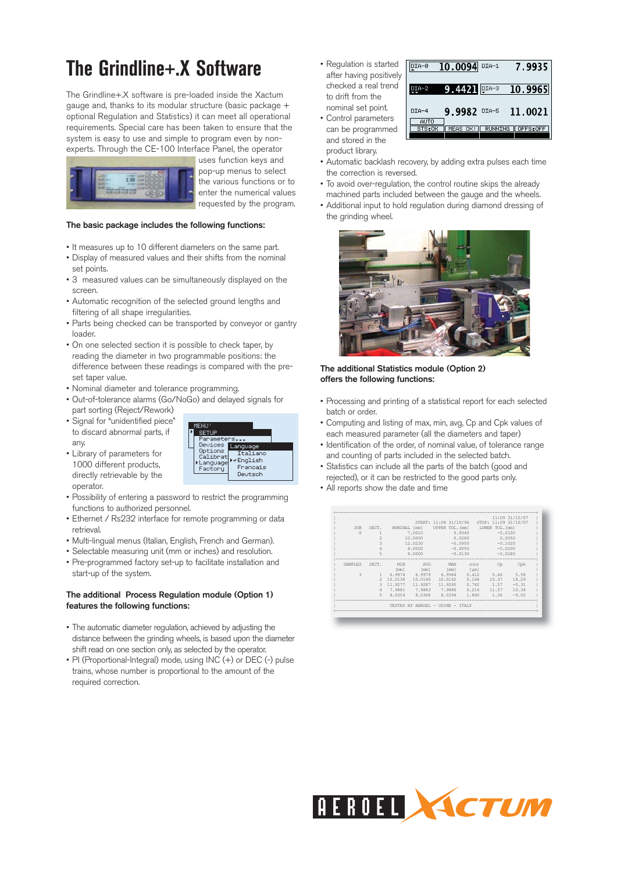# **The Grindline+.X Software**

The Grindline+.X software is pre-loaded inside the Xactum gauge and, thanks to its modular structure (basic package + optional Regulation and Statistics) it can meet all operational requirements. Special care has been taken to ensure that the system is easy to use and simple to program even by nonexperts. Through the CE-100 Interface Panel, the operator



uses function keys and pop-up menus to select the various functions or to enter the numerical values requested by the program.

### **The basic package includes the following functions:**

- It measures up to 10 different diameters on the same part.
- Display of measured values and their shifts from the nominal set points.
- 3 measured values can be simultaneously displayed on the screen.
- Automatic recognition of the selected ground lengths and filtering of all shape irregularities.
- Parts being checked can be transported by conveyor or gantry loader.
- On one selected section it is possible to check taper, by reading the diameter in two programmable positions: the difference between these readings is compared with the preset taper value.
- Nominal diameter and tolerance programming.
- Out-of-tolerance alarms (Go/NoGo) and delayed signals for part sorting (Reject/Rework)
- Signal for "unidentified piece" to discard abnormal parts, if any.
- Library of parameters for 1000 different products, directly retrievable by the operator.



- Possibility of entering a password to restrict the programming functions to authorized personnel.
- Ethernet / Rs232 interface for remote programming or data retrieval.
- Multi-lingual menus (Italian, English, French and German).
- Selectable measuring unit (mm or inches) and resolution.
- Pre-programmed factory set-up to facilitate installation and start-up of the system.

### **The additional Process Regulation module (Option 1) features the following functions:**

- The automatic diameter regulation, achieved by adjusting the distance between the grinding wheels, is based upon the diameter shift read on one section only, as selected by the operator.
- PI (Proportional-Integral) mode, using INC (+) or DEC (-) pulse trains, whose number is proportional to the amount of the required correction.

• Regulation is started after having positively checked a real trend to drift from the nominal set point. • Control parameters

can be programmed and stored in the product library.

| UIA-0           | 10.0094 DIA-1       | 7.9935         |          |  |
|-----------------|---------------------|----------------|----------|--|
| $DIA-2$         | $9.4421$ $1000 - 3$ |                | 10.9965  |  |
| $DTA-4$<br>AUTO | 9.9982 DIA-5        |                | 11.0021  |  |
| STS:OK          | MEAS<br>OK!         | <b>RUNNING</b> | OFFS:OFF |  |

- Automatic backlash recovery, by adding extra pulses each time the correction is reversed.
- To avoid over-regulation, the control routine skips the already machined parts included between the gauge and the wheels.
- Additional input to hold regulation during diamond dressing of the grinding wheel.



### **The additional Statistics module (Option 2) offers the following functions:**

- Processing and printing of a statistical report for each selected batch or order.
- Computing and listing of max, min, avg, Cp and Cpk values of each measured parameter (all the diameters and taper)
- Identification of the order, of nominal value, of tolerance range and counting of parts included in the selected batch.
- Statistics can include all the parts of the batch (good and rejected), or it can be restricted to the good parts only.
- All reports show the date and time